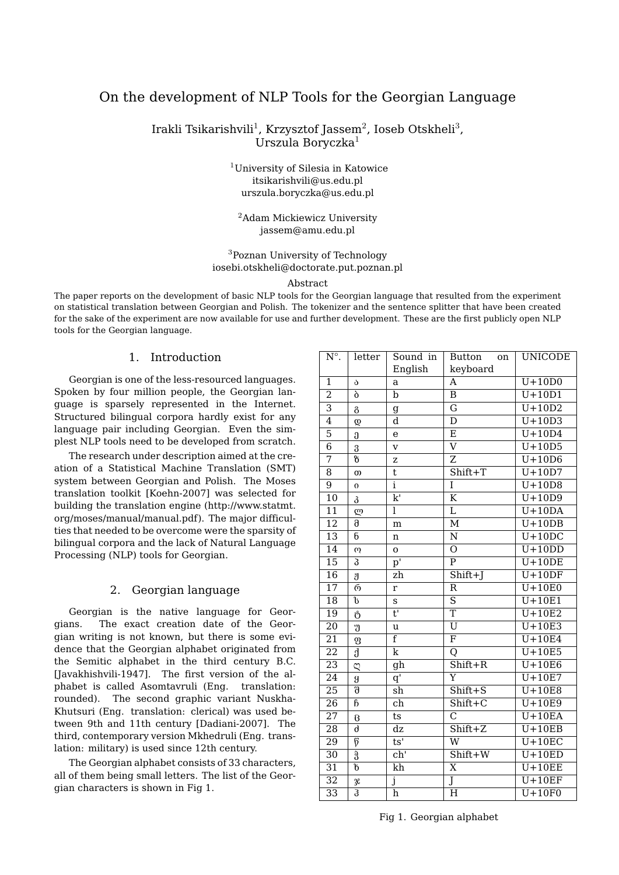# On the development of NLP Tools for the Georgian Language

Irakli Tsikarishvili $^1$ , Krzysztof Jassem $^2$ , Ioseb Otskheli $^3$ , Urszula Boryczka<sup>1</sup>

> <sup>1</sup>University of Silesia in Katowice itsikarishvili@us.edu.pl urszula.boryczka@us.edu.pl

<sup>2</sup>Adam Mickiewicz University jassem@amu.edu.pl

# <sup>3</sup>Poznan University of Technology iosebi.otskheli@doctorate.put.poznan.pl

#### Abstract

The paper reports on the development of basic NLP tools for the Georgian language that resulted from the experiment on statistical translation between Georgian and Polish. The tokenizer and the sentence splitter that have been created for the sake of the experiment are now available for use and further development. These are the first publicly open NLP tools for the Georgian language.

# 1. Introduction

Georgian is one of the less-resourced languages. Spoken by four million people, the Georgian language is sparsely represented in the Internet. Structured bilingual corpora hardly exist for any language pair including Georgian. Even the simplest NLP tools need to be developed from scratch.

The research under description aimed at the creation of a Statistical Machine Translation (SMT) system between Georgian and Polish. The Moses translation toolkit [Koehn-2007] was selected for building the translation engine (http://www.statmt. org/moses/manual/manual.pdf). The major difficulties that needed to be overcome were the sparsity of bilingual corpora and the lack of Natural Language Processing (NLP) tools for Georgian.

## 2. Georgian language

Georgian is the native language for Georgians. The exact creation date of the Georgian writing is not known, but there is some evidence that the Georgian alphabet originated from the Semitic alphabet in the third century B.C. [Javakhishvili-1947]. The first version of the alphabet is called Asomtavruli (Eng. translation: rounded). The second graphic variant Nuskha-Khutsuri (Eng. translation: clerical) was used between 9th and 11th century [Dadiani-2007]. The third, contemporary version Mkhedruli (Eng. translation: military) is used since 12th century.

The Georgian alphabet consists of 33 characters, all of them being small letters. The list of the Georgian characters is shown in Fig 1.

| $\mathrm{N}^\circ.$ | letter                                 | Sound in                                  | <b>Button</b><br>on         | UNICODE             |
|---------------------|----------------------------------------|-------------------------------------------|-----------------------------|---------------------|
|                     |                                        | English                                   | keyboard                    |                     |
| $\overline{1}$      | ა                                      | a                                         | A                           | $\overline{U+10D0}$ |
| $\overline{2}$      | ò                                      | b                                         | $\overline{B}$              | $U+10D1$            |
| $\overline{3}$      | გ                                      | $\mathfrak g$                             | G                           | $U+10D2$            |
| $\overline{4}$      | Q                                      | d                                         | $\overline{\texttt{D}}$     | $U+10D3$            |
| $\overline{5}$      | Ĵ                                      | e                                         | Ε                           | $U+10D4$            |
| $\overline{6}$      | 3                                      | $\overline{\mathbf{V}}$                   | $\overline{\rm v}$          | $U+10D5$            |
| $\overline{7}$      | 8                                      | Z                                         | Z                           | $U+10D6$            |
| $\overline{8}$      | $\omega$                               | t                                         | $Shift+T$                   | $U+10D7$            |
| 9                   | $\boldsymbol{0}$                       | $\mathbf{i}$                              | I                           | $U+10D8$            |
| $\overline{10}$     | კ                                      | k'                                        | $\overline{\rm K}$          | $U+10D9$            |
| $\overline{11}$     | ლ                                      | Ī                                         | $\overline{\text{L}}$       | $U+10DA$            |
| $\overline{12}$     | $\overline{\partial}$                  | m                                         | $\overline{\mathbf{M}}$     | $U+10DB$            |
| 13                  | б                                      | n                                         | $\overline{\text{N}}$       | $U+10DC$            |
| $\overline{14}$     | $\omega$                               | O                                         | $\overline{O}$              | $U+10DD$            |
| $\overline{15}$     | 3                                      | $\bar{p}$ <sup><math>\bar{l}</math></sup> | $\overline{P}$              | $U+10DE$            |
| $\overline{16}$     | ປັ                                     | zh                                        | $Shift+J$                   | $U+10DF$            |
| $\overline{17}$     | რ                                      | r                                         | $\overline{\text{R}}$       | $U+10E0$            |
| $\overline{18}$     | $\overline{v}$                         | S                                         | $\overline{s}$              | $U+10E1$            |
| $\overline{19}$     | Ů                                      | $\overline{\mathbf{t}^{\mathsf{T}}}$      | $\overline{T}$              | $U+10E2$            |
| 20                  | უ                                      | u                                         | $\overline{\mathtt{U}}$     | $U+10E3$            |
| $\overline{21}$     | $\boldsymbol{\mathrm{g}}$              | $\overline{\mathrm{f}}$                   | $\overline{\mathrm{F}}$     | $U+10E4$            |
| 22                  | $\overline{\mathrm{d}}$                | k                                         | Q                           | $U+10E5$            |
| $\overline{23}$     | Q                                      | gh                                        | $Shift+R$                   | $U+10E6$            |
| 24                  | g                                      | $\overline{q'}$                           | Y                           | $U+10E7$            |
| $\overline{25}$     | $\overline{\delta}$                    | $\overline{\sh}$                          | $\overline{Shift+S}$        | $U+10E8$            |
| 26                  | $\overline{6}$                         | ch                                        | Shift+C                     | $\overline{U+10E9}$ |
| 27                  | $\beta$                                | ts                                        | $\overline{\text{c}}$       | $U+10EA$            |
| 28                  | d                                      | dz                                        | $\overline{\text{Shift}+Z}$ | $U+10EB$            |
| 29                  | $\overline{\emptyset}$                 | ts'                                       | W                           | $U+10EC$            |
| $\overline{30}$     | $\overline{\boldsymbol{\mathfrak{F}}}$ | ch <sup>1</sup>                           | $Shift+W$                   | $U+10ED$            |
| $\overline{31}$     | $\overline{\mathfrak{b}}$              | kh                                        | $\overline{\text{X}}$       | $U+10EE$            |
| $\overline{32}$     | X                                      | j                                         | Ĵ                           | $U+10EF$            |
| 33                  | $\overline{3}$                         | $\overline{h}$                            | Н                           | $U+10F0$            |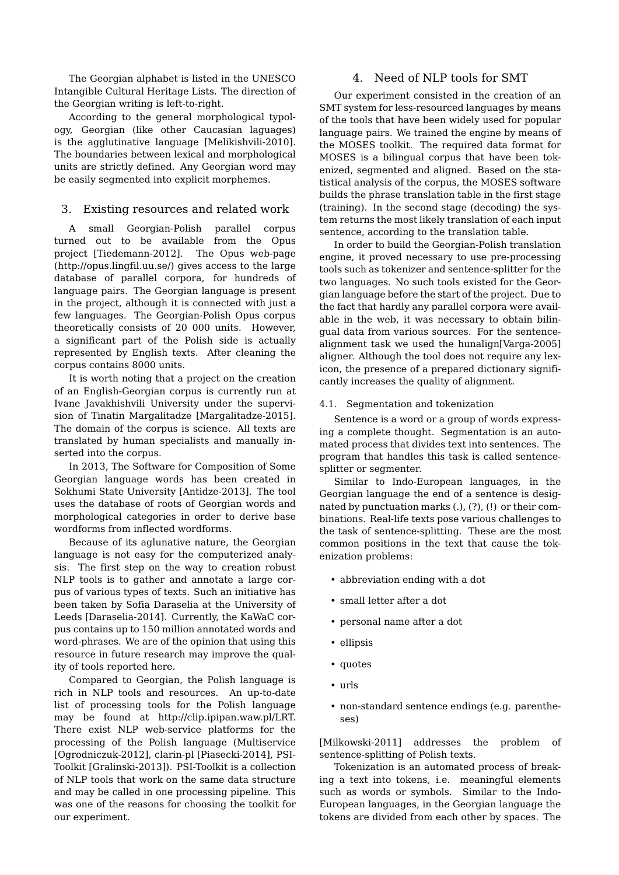The Georgian alphabet is listed in the UNESCO Intangible Cultural Heritage Lists. The direction of the Georgian writing is left-to-right.

According to the general morphological typology, Georgian (like other Caucasian laguages) is the agglutinative language [Melikishvili-2010]. The boundaries between lexical and morphological units are strictly defined. Any Georgian word may be easily segmented into explicit morphemes.

# 3. Existing resources and related work

A small Georgian-Polish parallel corpus turned out to be available from the Opus project [Tiedemann-2012]. The Opus web-page (http://opus.lingfil.uu.se/) gives access to the large database of parallel corpora, for hundreds of language pairs. The Georgian language is present in the project, although it is connected with just a few languages. The Georgian-Polish Opus corpus theoretically consists of 20 000 units. However, a significant part of the Polish side is actually represented by English texts. After cleaning the corpus contains 8000 units.

It is worth noting that a project on the creation of an English-Georgian corpus is currently run at Ivane Javakhishvili University under the supervision of Tinatin Margalitadze [Margalitadze-2015]. The domain of the corpus is science. All texts are translated by human specialists and manually inserted into the corpus.

In 2013, The Software for Composition of Some Georgian language words has been created in Sokhumi State University [Antidze-2013]. The tool uses the database of roots of Georgian words and morphological categories in order to derive base wordforms from inflected wordforms.

Because of its aglunative nature, the Georgian language is not easy for the computerized analysis. The first step on the way to creation robust NLP tools is to gather and annotate a large corpus of various types of texts. Such an initiative has been taken by Sofia Daraselia at the University of Leeds [Daraselia-2014]. Currently, the KaWaC corpus contains up to 150 million annotated words and word-phrases. We are of the opinion that using this resource in future research may improve the quality of tools reported here.

Compared to Georgian, the Polish language is rich in NLP tools and resources. An up-to-date list of processing tools for the Polish language may be found at http://clip.ipipan.waw.pl/LRT. There exist NLP web-service platforms for the processing of the Polish language (Multiservice [Ogrodniczuk-2012], clarin-pl [Piasecki-2014], PSI-Toolkit [Gralinski-2013]). PSI-Toolkit is a collection of NLP tools that work on the same data structure and may be called in one processing pipeline. This was one of the reasons for choosing the toolkit for our experiment.

# 4. Need of NLP tools for SMT

Our experiment consisted in the creation of an SMT system for less-resourced languages by means of the tools that have been widely used for popular language pairs. We trained the engine by means of the MOSES toolkit. The required data format for MOSES is a bilingual corpus that have been tokenized, segmented and aligned. Based on the statistical analysis of the corpus, the MOSES software builds the phrase translation table in the first stage (training). In the second stage (decoding) the system returns the most likely translation of each input sentence, according to the translation table.

In order to build the Georgian-Polish translation engine, it proved necessary to use pre-processing tools such as tokenizer and sentence-splitter for the two languages. No such tools existed for the Georgian language before the start of the project. Due to the fact that hardly any parallel corpora were available in the web, it was necessary to obtain bilingual data from various sources. For the sentencealignment task we used the hunalign[Varga-2005] aligner. Although the tool does not require any lexicon, the presence of a prepared dictionary significantly increases the quality of alignment.

## 4.1. Segmentation and tokenization

Sentence is a word or a group of words expressing a complete thought. Segmentation is an automated process that divides text into sentences. The program that handles this task is called sentencesplitter or segmenter.

Similar to Indo-European languages, in the Georgian language the end of a sentence is designated by punctuation marks (.), (?), (!) or their combinations. Real-life texts pose various challenges to the task of sentence-splitting. These are the most common positions in the text that cause the tokenization problems:

- abbreviation ending with a dot
- small letter after a dot
- personal name after a dot
- ellipsis
- quotes
- urls
- non-standard sentence endings (e.g. parentheses)

[Milkowski-2011] addresses the problem of sentence-splitting of Polish texts.

Tokenization is an automated process of breaking a text into tokens, i.e. meaningful elements such as words or symbols. Similar to the Indo-European languages, in the Georgian language the tokens are divided from each other by spaces. The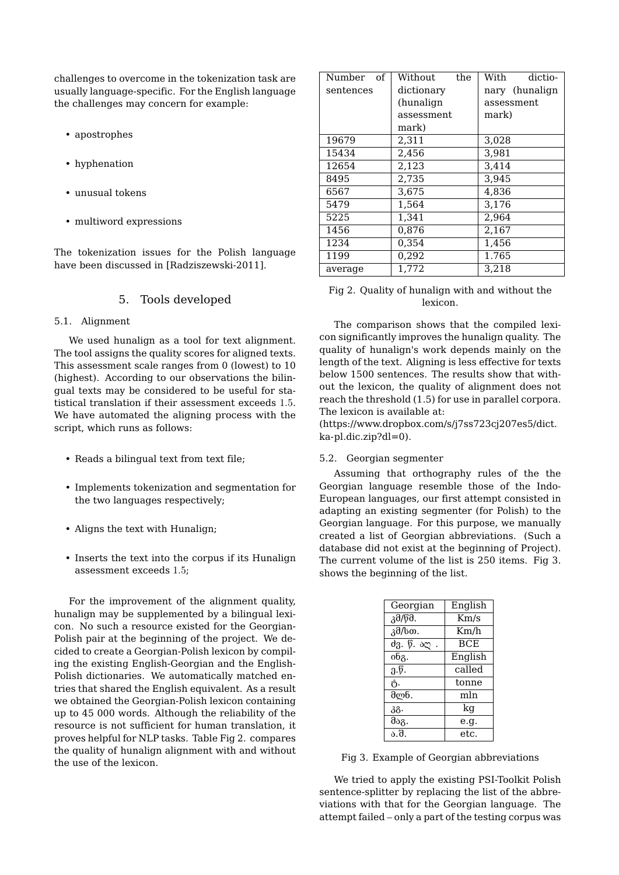challenges to overcome in the tokenization task are usually language-specific. For the English language the challenges may concern for example:

- apostrophes
- hyphenation
- unusual tokens
- multiword expressions

The tokenization issues for the Polish language have been discussed in [Radziszewski-2011].

## 5. Tools developed

#### 5.1. Alignment

We used hunalign as a tool for text alignment. The tool assigns the quality scores for aligned texts. This assessment scale ranges from 0 (lowest) to 10 (highest). According to our observations the bilingual texts may be considered to be useful for statistical translation if their assessment exceeds 1.5. We have automated the aligning process with the script, which runs as follows:

- Reads a bilingual text from text file;
- Implements tokenization and segmentation for the two languages respectively;
- Aligns the text with Hunalign;
- Inserts the text into the corpus if its Hunalign assessment exceeds 1.5;

For the improvement of the alignment quality, hunalign may be supplemented by a bilingual lexicon. No such a resource existed for the Georgian-Polish pair at the beginning of the project. We decided to create a Georgian-Polish lexicon by compiling the existing English-Georgian and the English-Polish dictionaries. We automatically matched entries that shared the English equivalent. As a result we obtained the Georgian-Polish lexicon containing up to 45 000 words. Although the reliability of the resource is not sufficient for human translation, it proves helpful for NLP tasks. Table Fig 2. compares the quality of hunalign alignment with and without the use of the lexicon.

| Number of | Without<br>the | With<br>dictio- |
|-----------|----------------|-----------------|
| sentences | dictionary     | nary (hunalign  |
|           | (hunalign      | assessment      |
|           | assessment     | mark)           |
|           | mark)          |                 |
| 19679     | 2.311          | 3.028           |
| 15434     | 2,456          | 3.981           |
| 12654     | 2.123          | 3.414           |
| 8495      | 2.735          | 3.945           |
| 6567      | 3.675          | 4.836           |
| 5479      | 1.564          | 3.176           |
| 5225      | 1,341          | 2,964           |
| 1456      | 0.876          | 2,167           |
| 1234      | 0,354          | 1,456           |
| 1199      | 0,292          | 1.765           |
| average   | 1.772          | 3.218           |
|           |                |                 |

### Fig 2. Quality of hunalign with and without the lexicon.

The comparison shows that the compiled lexicon significantly improves the hunalign quality. The quality of hunalign's work depends mainly on the length of the text. Aligning is less effective for texts below 1500 sentences. The results show that without the lexicon, the quality of alignment does not reach the threshold (1.5) for use in parallel corpora. The lexicon is available at:

(https://www.dropbox.com/s/j7ss723cj207es5/dict. ka-pl.dic.zip?dl=0).

#### 5.2. Georgian segmenter

Assuming that orthography rules of the the Georgian language resemble those of the Indo-European languages, our first attempt consisted in adapting an existing segmenter (for Polish) to the Georgian language. For this purpose, we manually created a list of Georgian abbreviations. (Such a database did not exist at the beginning of Project). The current volume of the list is 250 items. Fig 3. shows the beginning of the list.

| Georgian          | English    |  |
|-------------------|------------|--|
| კმ/წმ.            | Km/s       |  |
| კმ/სთ.            | Km/h       |  |
| ძვ. წ. აღ         | <b>BCE</b> |  |
| $0\overline{6}$ . | English    |  |
| $0.\emptyset.$    | called     |  |
| ტ.                | tonne      |  |
| მლნ.              | mln        |  |
| კგ.               | kg         |  |
| მაგ.              | e.g.       |  |
| ა.შ.              | et.c.      |  |

Fig 3. Example of Georgian abbreviations

We tried to apply the existing PSI-Toolkit Polish sentence-splitter by replacing the list of the abbreviations with that for the Georgian language. The attempt failed – only a part of the testing corpus was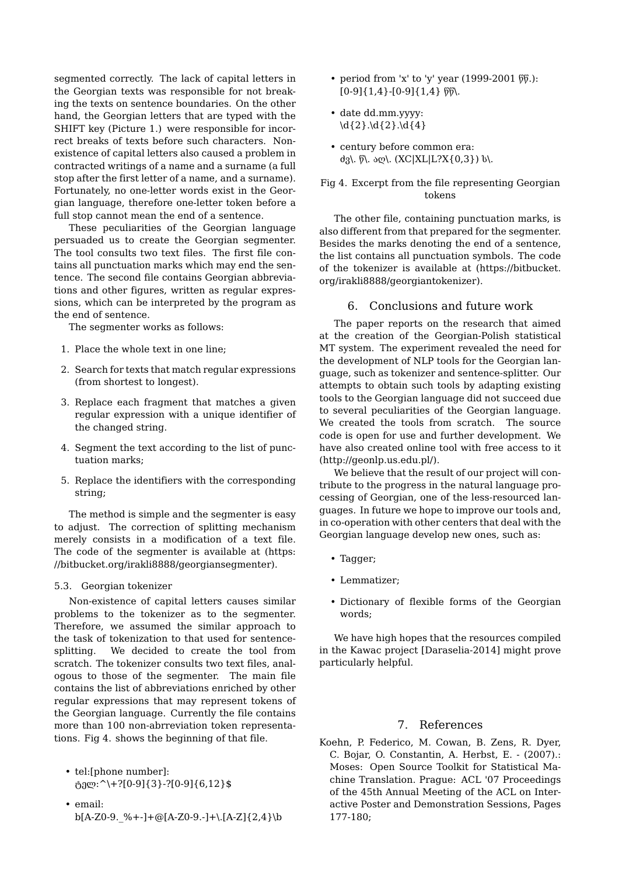segmented correctly. The lack of capital letters in the Georgian texts was responsible for not breaking the texts on sentence boundaries. On the other hand, the Georgian letters that are typed with the SHIFT key (Picture 1.) were responsible for incorrect breaks of texts before such characters. Nonexistence of capital letters also caused a problem in contracted writings of a name and a surname (a full stop after the first letter of a name, and a surname). Fortunately, no one-letter words exist in the Georgian language, therefore one-letter token before a full stop cannot mean the end of a sentence.

These peculiarities of the Georgian language persuaded us to create the Georgian segmenter. The tool consults two text files. The first file contains all punctuation marks which may end the sentence. The second file contains Georgian abbreviations and other figures, written as regular expressions, which can be interpreted by the program as the end of sentence.

The segmenter works as follows:

- 1. Place the whole text in one line;
- 2. Search for texts that match regular expressions (from shortest to longest).
- 3. Replace each fragment that matches a given regular expression with a unique identifier of the changed string.
- 4. Segment the text according to the list of punctuation marks;
- 5. Replace the identifiers with the corresponding string;

The method is simple and the segmenter is easy to adjust. The correction of splitting mechanism merely consists in a modification of a text file. The code of the segmenter is available at (https: //bitbucket.org/irakli8888/georgiansegmenter).

#### 5.3. Georgian tokenizer

Non-existence of capital letters causes similar problems to the tokenizer as to the segmenter. Therefore, we assumed the similar approach to the task of tokenization to that used for sentencesplitting. We decided to create the tool from scratch. The tokenizer consults two text files, analogous to those of the segmenter. The main file contains the list of abbreviations enriched by other regular expressions that may represent tokens of the Georgian language. Currently the file contains more than 100 non-abrreviation token representations. Fig 4. shows the beginning of that file.

- tel:[phone number]:  $_{0}^{8}$ ელ: ^\+?[0-9]{3}-?[0-9]{6,12}\$
- email:  $b[A-Z0-9.$ %+-]+@[A-Z0-9.-]+\.[A-Z]{2,4}\b
- period from 'x' to 'y' year  $(1999-2001 \ 66)$ :  $[0-9]{1,4}$ - $[0-9]{1,4}$   $\overline{6}$ .
- date dd.mm.yyyy:  $\d{2}.\d{2}.\d{4}$
- century before common era: ძვ\. წ\. აღ\. (XC|XL|L?X{0,3}) ს\.

Fig 4. Excerpt from the file representing Georgian tokens

The other file, containing punctuation marks, is also different from that prepared for the segmenter. Besides the marks denoting the end of a sentence, the list contains all punctuation symbols. The code of the tokenizer is available at (https://bitbucket. org/irakli8888/georgiantokenizer).

#### 6. Conclusions and future work

The paper reports on the research that aimed at the creation of the Georgian-Polish statistical MT system. The experiment revealed the need for the development of NLP tools for the Georgian language, such as tokenizer and sentence-splitter. Our attempts to obtain such tools by adapting existing tools to the Georgian language did not succeed due to several peculiarities of the Georgian language. We created the tools from scratch. The source code is open for use and further development. We have also created online tool with free access to it (http://geonlp.us.edu.pl/).

We believe that the result of our project will contribute to the progress in the natural language processing of Georgian, one of the less-resourced languages. In future we hope to improve our tools and, in co-operation with other centers that deal with the Georgian language develop new ones, such as:

- Tagger;
- Lemmatizer;
- Dictionary of flexible forms of the Georgian words;

We have high hopes that the resources compiled in the Kawac project [Daraselia-2014] might prove particularly helpful.

## 7. References

Koehn, P. Federico, M. Cowan, B. Zens, R. Dyer, C. Bojar, O. Constantin, A. Herbst, E. - (2007).: Moses: Open Source Toolkit for Statistical Machine Translation. Prague: ACL '07 Proceedings of the 45th Annual Meeting of the ACL on Interactive Poster and Demonstration Sessions, Pages 177-180;